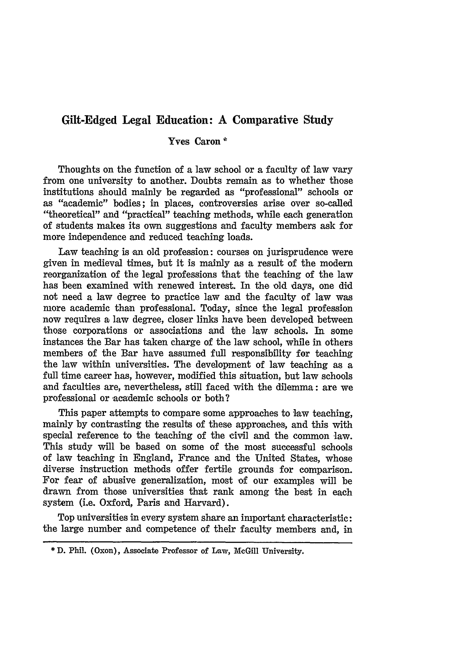# **Gilt-Edged Legal Education: A Comparative Study**

## Yves Caron **\***

Thoughts on the function of a law school or a faculty of law vary from one university to another. Doubts remain as to whether those institutions should mainly be regarded as "professional" schools or as "academic" bodies; in places, controversies arise over so-called "theoretical" and "practical" teaching methods, while each generation of students makes its own suggestions and faculty members ask for more independence and reduced teaching loads.

Law teaching is an old profession: courses on jurisprudence were given in medieval times, but it is mainly as a result of the modern reorganization of the legal professions that the teaching of the law has been examined with renewed interest. In the old days, one did not need a law degree to practice law and the faculty of law was more academic than professional. Today, since the legal profession now requires a law degree, closer links have been developed between those corporations or associations and the law schools. In some instances the Bar has taken charge of the law school, while in others members of the Bar have assumed full responsibility for teaching the law within universities. The development of law teaching as a full time career has, however, modified this situation, but law schools and faculties are, nevertheless, still faced with the dilemma: are we professional or academic schools or both?

This paper attempts to compare some approaches to law teaching, mainly by contrasting the results of these approaches, and this with special reference to the teaching of the civil and the common law. This study will be based on some of the most successful schools of law teaching in England, France and the United States, whose diverse instruction methods offer fertile grounds for comparison. For fear of abusive generalization, most of our examples will be drawn from those universities that rank among the best in each system (i.e. Oxford, Paris and Harvard).

Top universities in every system share an important characteristic: the large number and competence of their faculty members and, in

**<sup>\*</sup>** D. Phil. (Oxon), Associate Professor of Law, McGill University.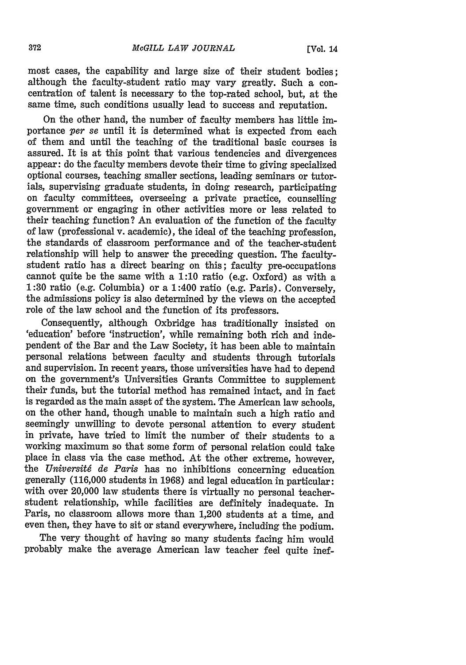most cases, the capability and large size of their student bodies: although the faculty-student ratio may vary greatly. Such a concentration of talent is necessary to the top-rated school, but, at the same time, such conditions usually lead to success and reputation.

On the other hand, the number of faculty members has little importance *per se* until it is determined what is expected from each of them and until the teaching of the traditional basic courses is assured. It is at this point that various tendencies and divergences appear: do the faculty members devote their time to giving specialized optional courses, teaching smaller sections, leading seminars or tutorials, supervising graduate students, in doing research, participating on faculty committees, overseeing a private practice, counselling government or engaging in other activities more or less related to their teaching function? An evaluation of the function of the faculty of law (professional v. academic), the ideal of the teaching profession, the standards of classroom performance and of the teacher-student relationship will help to answer the preceding question. The facultystudent ratio has a direct bearing on this; faculty pre-occupations cannot quite be the same with a 1:10 ratio (e.g. Oxford) as with a 1:30 ratio (e.g. Columbia) or a 1:400 ratio (e.g. Paris). Conversely, the admissions policy is also determined by the views on the accepted role of the law school and the function of its professors.

Consequently, although Oxbridge has traditionally insisted on 'education' before 'instruction', while remaining both rich and independent of the Bar and the Law Society, it has been able to maintain personal relations between faculty and students through tutorials and supervision. In recent years, those universities have had to depend on the government's Universities Grants Committee to supplement their funds, but the tutorial method has remained intact, and in fact is regarded as the main asset of the system. The American law schools, on the other hand, though unable to maintain such a high ratio and seemingly unwilling to devote personal attention to every student in private, have tried to limit the number of their students to a working maximum so that some form of personal relation could take place in class via the case method. At the other extreme, however, the *Universitg de Paris* has no inhibitions concerning education generally (116,000 students in 1968) and legal education in particular: with over 20,000 law students there is virtually no personal teacherstudent relationship, while facilities are definitely inadequate. In Paris, no classroom allows more than 1,200 students at a time, and even then, they have to sit or stand everywhere, including the podium.

The very thought of having so many students facing him would probably make the average American law teacher feel quite inef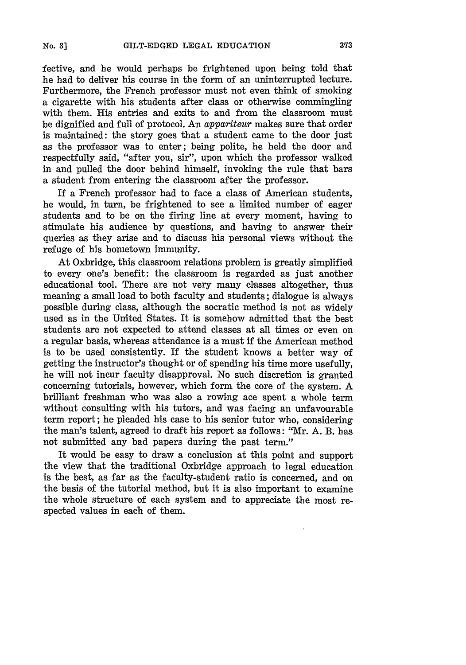fective, and he would perhaps be frightened upon being told that he had to deliver his course in the form of an uninterrupted lecture. Furthermore, the French professor must not even think of smoking a cigarette with his students after class or otherwise commingling with them. His entries and exits to and from the classroom must be dignified and full of protocol. An *appariteur* makes sure that order is maintained: the story goes that a student came to the door just as the professor was to enter; being polite, he held the door and respectfully said, "after you, sir", upon which the professor walked in and pulled the door behind himself, invoking the rule that bars a student from entering the classroom after the professor.

If a French professor had to face a class of American students, he would, in turn, be frightened to see a limited number of eager students and to be on the firing line at every moment, having to stimulate his audience by questions, and having to answer their queries as they arise and to discuss his personal views without the refuge of his hometown immunity.

At Oxbridge, this classroom relations problem is greatly simplified to every one's benefit: the classroom is regarded as just another educational tool. There are not very many classes altogether, thus meaning a small load to both faculty and students; dialogue is always possible during class, although the socratic method is not as widely used as in the United States. It is somehow admitted that the best students are not expected to attend classes at all times or even on a regular basis, whereas attendance is a must if the American method is to be used consistently. If the student knows a better way of getting the instructor's thought or of spending his time more usefully, he will not incur faculty disapproval. No such discretion is granted concerning tutorials, however, which form the core of the system. A brilliant freshman who was also a rowing ace spent a whole term without consulting with his tutors, and was facing an unfavourable term report; he pleaded his case to his senior tutor who, considering the man's talent, agreed to draft his report as follows: "Mr. A. B. has not submitted any bad papers during the past term."

It would be easy to draw a conclusion at this point and support the view that the traditional Oxbridge approach to legal education is the best, as far as the faculty-student ratio is concerned, and on the basis of the tutorial method, but it is also important to examine the whole structure of each system and to appreciate the most respected values in each of them.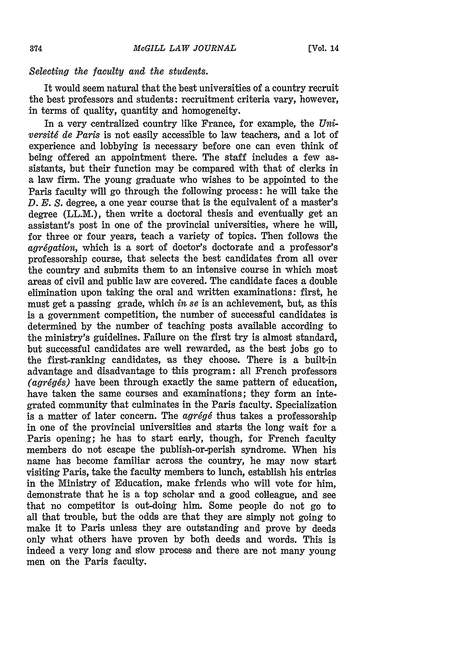### *Selecting the faculty and the students.*

It would seem natural that the best universities of a country recruit the best professors and students: recruitment criteria vary, however, in terms of quality, quantity and homogeneity.

In a very centralized country like France, for example, the *Universit6 de Paris* is not easily accessible to law teachers, and a lot of experience and lobbying is necessary before one can even think of being offered an appointment there. The staff includes a few assistants, but their function may be compared with that of clerks in a law firm. The young graduate who wishes to be appointed to the Paris faculty will go through the following process: he will take the *D. E. S.* degree, a one year course that is the equivalent of a master's degree (LL.M.), then write a doctoral thesis and eventually get an assistant's post in one of the provincial universities, where he will, for three or four years, teach a variety of topics. Then follows the *agrégation*, which is a sort of doctor's doctorate and a professor's professorship course, that selects the best candidates from all over the country and submits them to an intensive course in which most areas of civil and public law are covered. The candidate faces a double elimination upon taking the oral and written examinations: first, he must get a passing grade, which *in se* is an achievement, but, as this is a government competition, the number of successful candidates is determined **by** the number of teaching posts available according to the ministry's guidelines. Failure on the first try is almost standard, but successful candidates are well rewarded, as the best jobs go to the first-ranking candidates, as they choose. There is a built-in advantage and disadvantage to this program: all French professors *(agrégés)* have been through exactly the same pattern of education, have taken the same courses and examinations; they form an integrated community that culminates in the Paris faculty. Specialization is a matter of later concern. The *agrégé* thus takes a professorship in one of the provincial universities and starts the long wait for a Paris opening; he has to start early, though, for French faculty members do not escape the publish-or-perish syndrome. When his name has become familiar across the country, he may now start visiting Paris, take the faculty members to lunch, establish his entries in the Ministry of Education, make friends who will vote for him, demonstrate that he is a top scholar and a good colleague, and see that no competitor is out-doing him. Some people do not go to all that trouble, but the odds are that they are simply not going to make it to Paris unless they are outstanding and prove **by** deeds only what others have proven **by** both deeds and words. This is indeed a very long and slow process and there are not many young men on the Paris faculty.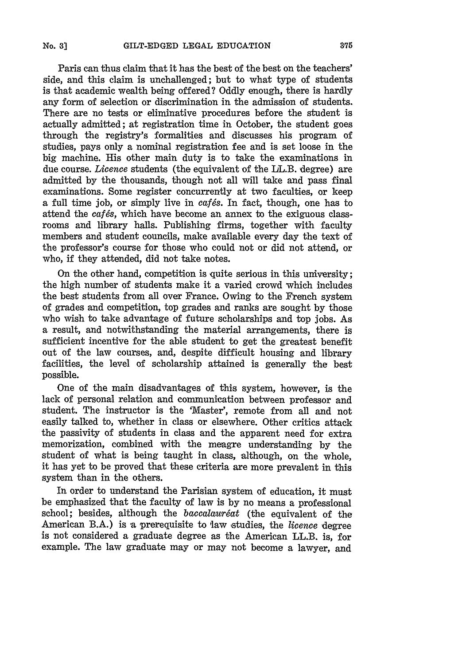Paris can thus claim that it has the best of the best on the teachers' side, and this claim is unchallenged; but to what type of students is that academic wealth being offered? Oddly enough, there is hardly any form of selection or discrimination in the admission of students. There axe no tests or eliminative procedures before the student is actually admitted; at registration time in October, the student goes through the registry's formalities and discusses his program of studies, pays only a nominal registration fee and is set loose in the big machine. His other main duty is to take the examinations in due course. *Licence* students (the equivalent of the LL.B. degree) are admitted by the thousands, though not all will take and pass final examinations. Some register concurrently at two faculties, or keep a full time job, or simply live in *cafés*. In fact, though, one has to attend the *catés*, which have become an annex to the exiguous classrooms and library halls. Publishing firms, together with faculty members and student councils, make available every day the text of the professor's course for those who could not or did not attend, or who, if they attended, did not take notes.

On the other hand, competition is quite serious in this university; the high number of students make it a varied crowd which includes the best students from all over France. Owing to the French system of grades and competition, top grades and ranks are sought by those who wish to take advantage of future scholarships and top jobs. As a result, and notwithstanding the material arrangements, there is sufficient incentive for the able student to get the greatest benefit out of the law courses, and, despite difficult housing and library facilities, the level of scholarship attained is generally the best possible.

One of the main disadvantages of this system, however, is the lack of personal relation and communication between professor and student. The instructor is the 'Master', remote from all and not easily talked to, whether in class or elsewhere. Other critics attack the passivity of students in class and the apparent need for extra memorization, combined with the meagre understanding by the student of what is being taught in class, although, on the whole, it has yet to be proved that these criteria are more prevalent in this system than in the others.

In order to understand the Parisian system of education, it must be emphasized that the faculty of law is by no means a professional school; besides, although the *baccalauréat* (the equivalent of the American B.A.) is a prerequisite to law etudies, the *licence* degree is not considered a graduate degree as the American LL.B. is, for example. The law graduate may or may not become a lawyer, and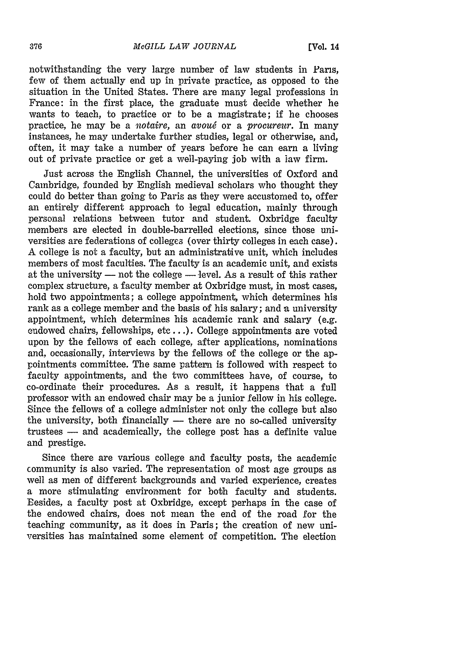notwithstanding the very large number of law students in Pans, few of them actually end up in private practice, as opposed to the situation in the United States. There are many legal professions in France: in the first place, the graduate must decide whether he wants to teach, to practice or to be a magistrate; if he chooses practice, he may be a *notaire,* an *avoug* or a *procureur.* In many instances, he may undertake further studies, legal or otherwise, and, often, it may take a number of years before he can earn a living out of private practice or get a well-paying job with a law firm.

Just across the English Channel, the universities of Oxford and Cambridge, founded by English medieval scholars who thought they could do better than going to Paris as they were accustomed to, offer an entirely different approach to legal education, mainly through personal relations between tutor and student. Oxbridge faculty members are elected in double-barrelled elections, since those universities are federations of colleges (over thirty colleges in each case). A college is not a faculty, but an administrative unit, which includes members of most faculties. The faculty is an academic unit, and exists at the university  $-$  not the college  $-$  level. As a result of this rather complex structure, a faculty member at Oxbridge must, in most cases, hold two appointments; a college appointment, which determines his rank as a college member and the basis of his salary; and a university appointment, which determines his academic rank and salary (e.g. endowed chairs, fellowships, etc...). College appointments are voted upon by the fellows of each college, after applications, nominations and, occasionally, interviews by the fellows of the college or the appointments committee. The same pattern is followed with respect to faculty appointments, and the two committees have, of course, to co-ordinate their procedures. As a result, it happens that a full professor with an endowed chair may be a junior fellow in his college. Since the fellows of a college administer not only the college but also the university, both financially  $-$  there are no so-called university trustees **-** and academically, the college post has a definite value and prestige.

Since there are various college and faculty posts, the academic community is also varied. The representation of most age groups as well as men of different backgrounds and varied experience, creates a more stimulating environment for both faculty and students. Besides, a faculty post at Oxbridge, except perhaps in the case of the endowed chairs, does not mean the end of the road for the teaching community, as it does in Paris; the creation of new universities has maintained some element of competition. The election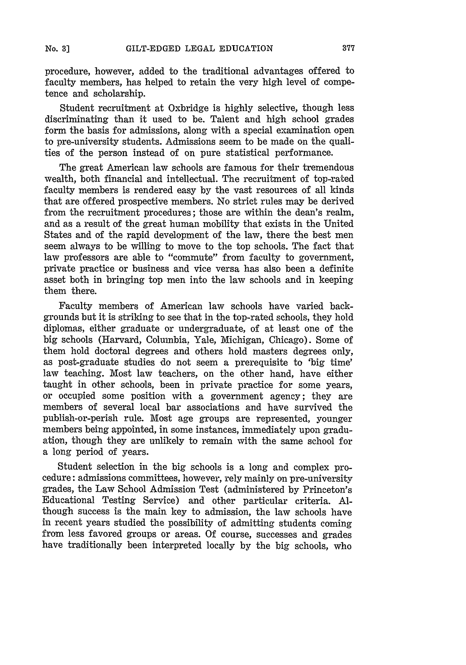procedure, however, added to the traditional advantages offered to faculty members, has helped to retain the very high level of competence and scholarship.

Student recruitment at Oxbridge is highly selective, though less discriminating than it used to be. Talent and high school grades form the basis for admissions, along with a special examination open to pre-university students. Admissions seem to be made on the qualities of the person instead of on pure statistical performance.

The great American law schools are famous for their tremendous wealth, both financial and intellectual. The recruitment of top-rated faculty members is rendered easy by the vast resources of all kinds that are offered prospective members. No strict rules may be derived from the recruitment procedures; those are within the dean's realm, and as a result of the great human mobility that exists in the United States and of the rapid development of the law, there the best men seem always to be willing to move to the top schools. The fact that law professors are able to "commute" from faculty to government, private practice or business and vice versa has also been a definite asset both in bringing top men into the law schools and in keeping them there.

Faculty members of American law schools have varied backgrounds but it is striking to see that in the top-rated schools, they hold diplomas, either graduate or undergraduate, of at least one of the big schools (Harvard, Columbia, Yale, Michigan, Chicago). Some of them hold doctoral degrees and others hold masters degrees only, as post-graduate studies do not seem a prerequisite to 'big time' law teaching. Most law teachers, on the other hand, have either taught in other schools, been in private practice for some years, or occupied some position with a government agency; they are members of several local bar associations and have survived the publish-or-perish rule. Most age groups are represented, younger members being appointed, in some instances, immediately upon graduation, though they are unlikely to remain with the same school for a long period of years.

Student selection in the big schools is a long and complex procedure: admissions committees, however, rely mainly on pre-university grades, the Law School Admission Test (administered by Princeton's Educational Testing Service) and other particular criteria. Although success is the main key to admission, the law schools have in recent years studied the possibility of admitting students coming from less favored groups or areas. Of course, successes and grades have traditionally been interpreted locally by the big schools, who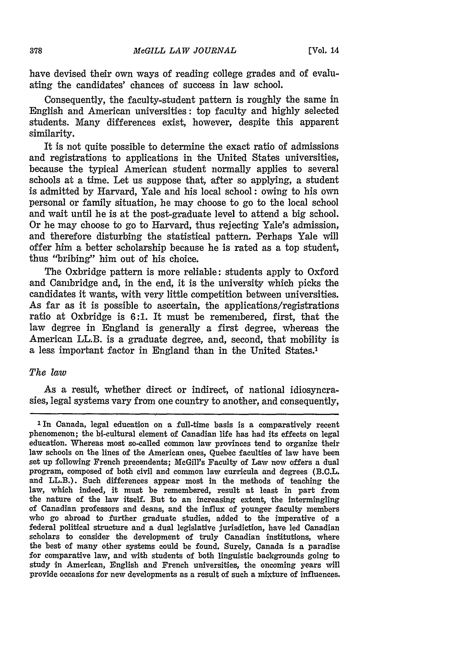have devised their own ways of reading college grades and of evaluating the candidates' chances of success in law school.

Consequently, the faculty-student pattern is roughly the same in English and American universities: top faculty and highly selected students. Many differences exist, however, despite this apparent similarity.

It is not quite possible to determine the exact ratio of admissions and registrations to applications in the United States universities, because the typical American student normally applies to several schools at a time. Let us suppose that, after so applying, a student is admitted by Harvard, Yale and his local school: owing to his own personal or family situation, he may choose to go to the local school and wait until he is at the post-graduate level to attend a big school. Or he may choose to go to Harvard, thus rejecting Yale's admission, and therefore disturbing the statistical pattern. Perhaps Yale will offer him a better scholarship because he is rated as a top student, thus "bribing" him out of his choice.

The Oxbridge pattern is more reliable: students apply to Oxford and Cambridge and, in the end, it is the university which picks the candidates it wants, with very little competition between universities. As far as it is possible to ascertain, the applications/registrations ratio at Oxbridge is 6:1. It must be remembered, first, that the law degree in England is generally a first degree, whereas the American LL.B. is a graduate degree, and, second, that mobility is a less important factor in England than in the United States.1

#### *The law*

As a result, whether direct or indirect, of national idiosyncrasies, legal systems vary from one country to another, and consequently,

**<sup>1</sup>** In Canada, legal education on a full-time basis is a comparatively recent phenomenon; the bi-cultural element of Canadian life has had its effects on legal education. Whereas most so-called common law provinces tend to organize their law schools on the lines of the American ones, Quebec faculties of law have been set up following French precendents; McGill's Faculty of Law now offers a dual program, composed of both civil and common law curricula and degrees (B.C.L. and LL.B.). Such differences appear most in the methods of teaching the law, which indeed, it must be remembered, result at least in part from the nature of the law itself. But to an increasing extent, the intermingling of Canadian professors and deans, and the influx of younger faculty members who go abroad to further graduate studies, added to the imperative of a federal political structure and a dual legislative jurisdiction, have led Canadian scholars to consider the development of truly Canadian institutions, where the best of many other systems could be found. Surely, Canada is a paradise for comparative law, and with students of both linguistic backgrounds going to study in American, English and French universities, the oncoming years will provide occasions for new developments as a result of such a mixture of influences.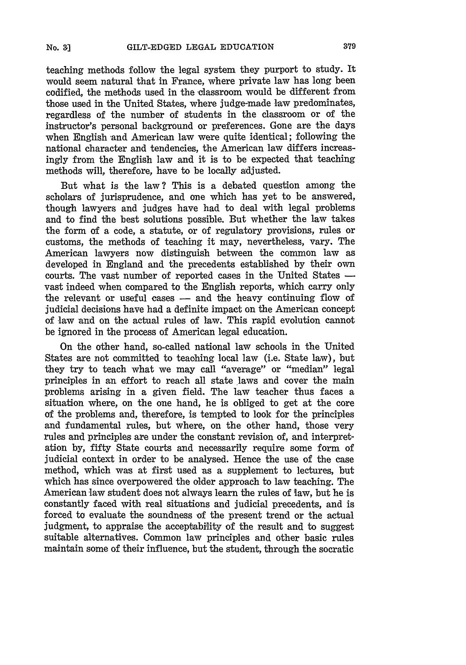teaching methods follow the legal system they purport to study. It would seem natural that in France, where private law has long been codified, the methods used in the classroom would be different from those used in the United States, where judge-made law predominates, regardless of the number of students in the classroom or of the instructor's personal background or preferences. Gone are the days when English and American law were quite identical; following the national character and tendencies, the American law differs increasingly from the English law and it is to be expected that teaching methods will, therefore, have to be locally adjusted.

But what is the law ? This is a debated question among the scholars of jurisprudence, and one which has yet to be answered, though lawyers and judges have had to deal with legal problems and to find the best solutions possible. But whether the law takes the form of a code, a statute, or of regulatory provisions, rules or customs, the methods of teaching it may, nevertheless, vary. The American lawyers now distinguish between the common law as developed in England and the precedents established by their own courts. The vast number of reported cases in the United States  vast indeed when compared to the English reports, which carry only the relevant or useful cases  $-$  and the heavy continuing flow of judicial decisions have had a definite impact on the American concept of law and on the actual rules of law. This rapid evolution cannot be ignored in the process of American legal education.

On the other hand, so-called national law schools in the United States are not committed to teaching local law (i.e. State law), but they try to teach what we may call "average" or "median" legal principles in an effort to reach all state laws and cover the main problems arising in a given field. The law teacher thus faces a situation where, on the one hand, he is obliged to get at the core of the problems and, therefore, is tempted to look for the principles and fundamental rules, but where, on the other hand, those very rules and principles are under the constant revision of, and interpretation by, fifty State courts and necessarily require some form of judicial context in order to be analysed. Hence the use of the case method, which was at first used as a supplement to lectures, but which has since overpowered the older approach to law teaching. The American law student does not always learn the rules of law, but he is constantly faced with real situations and judicial precedents, and is forced to evaluate the soundness of the present trend or the actual judgment, to appraise the acceptability of the result and to suggest suitable alternatives. Common law principles and other basic rules maintain some of their influence, but the student, through the socratic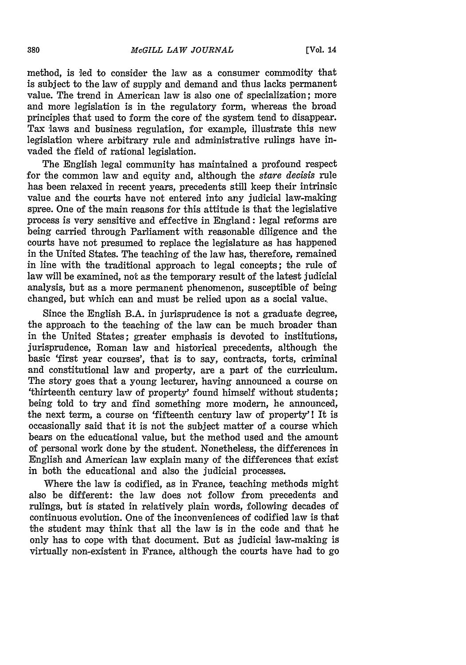method, is led to consider the law as a consumer commodity that is subject to the law of supply and demand and thus lacks permanent value. The trend in American law is also one of specialization; more and more legislation is in the regulatory form, whereas the broad principles that used to form the core of the system tend to disappear. Tax laws and business regulation, for example, illustrate this new legislation where arbitrary rule and administrative rulings have invaded the field of rational legislation.

The English legal community has maintained a profound respect for the common law and equity and, although the *stare decisis* rule has been relaxed in recent years, precedents still keep their intrinsic value and the courts have not entered into any judicial law-making spree. One of the main reasons for this attitude is that the legislative process is very sensitive and effective in England: legal reforms are being carried through Parliament with reasonable diligence and the courts have not presumed to replace the legislature as has happened in the United States. The teaching of the law has, therefore, remained in line with the traditional approach to legal concepts; the rule of law will be examined, not as the temporary result of the latest judicial analysis, but as a more permanent phenomenon, susceptible of being changed, but which can and must be relied upon as a social value.,

Since the English B.A. in jurisprudence is not a graduate degree, the approach to the teaching of the law can be much broader than in the United States; greater emphasis is devoted to institutions, jurisprudence, Roman law and historical precedents, although the basic 'first year courses', that is to say, contracts, torts, criminal and constitutional law and property, are a part of the curriculum. The story goes that a young lecturer, having announced a course on 'thirteenth century law of property' found himself without students; being told to try and find something more modern, he announced, the next term, a course on 'fifteenth century law of property'! It is occasionally said that it is not the subject matter of a course which bears on the educational value, but the method used and the amount of personal work done by the student. Nonetheless, the differences in English and American law explain many of the differences that exist in both the educational and also the judicial processes.

Where the law is codified, as in France, teaching methods might also be different: the law does not follow from precedents and rulings, but is stated in relatively plain words, following decades of continuous evolution. One of the inconveniences of codified law is that the student may think that all the law is in the code and that he only has to cope with that document. But as judicial law-making is virtually non-existent in France, although the courts have had to go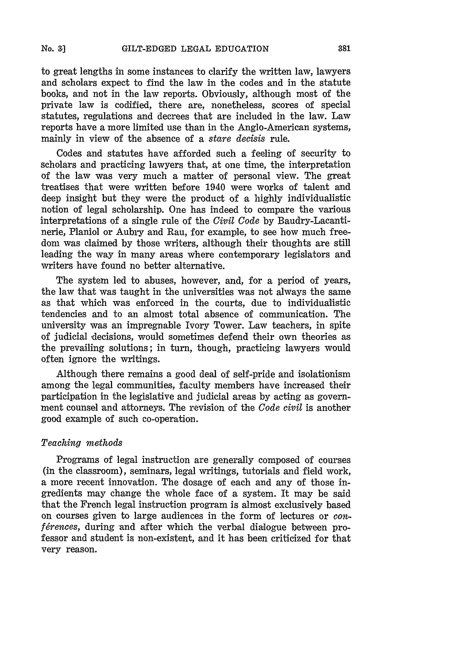to great lengths in some instances to clarify the written law, lawyers and scholars expect to find the law in the codes and in the statute books, and not in the law reports. Obviously, although most of the private law is codified, there are, nonetheless, scores of special statutes, regulations and decrees that are included in the law. Law reports have a more limited use than in the Anglo-American systems, mainly in view of the absence of a *stare decisis* rule.

Codes and statutes have afforded such a feeling of security to scholars and practicing lawyers that, at one time, the interpretation of the law was very much a matter of personal view. The great treatises that were written before 1940 were works of talent and deep insight but they were the product of a highly individualistic notion of legal scholarship. One has indeed to compare the various interpretations of a single rule of the *Civil Code* by Baudry-Lacantinerie, Planiol or Aubiy and Rau, for example, to see how much freedom was claimed by those writers, although their thoughts are still leading the way in many areas where contemporary legislators and writers have found no better alternative.

The system led to abuses, however, and, for a period of years, the law that was taught in the universities was not always the same as that which was enforced in the courts, due to individualistic tendencies and to an almost total absence of communication. The university was an impregnable Ivory Tower. Law teachers, in spite of judicial decisions, would sometimes defend their own theories as the prevailing solutions; in turn, though, practicing lawyers would often ignore the writings.

Although there remains a good deal of self-pride and isolationism among the legal communities, faculty members have increased their participation in the legislative and judicial areas by acting as government counsel and attorneys. The revision of the *Code civil* is another good example of such co-operation.

## *Teaching methods*

Programs of legal instruction are generally composed of courses (in the classroom), seminars, legal writings, tutorials and field work, a more recent innovation. The dosage of each and any of those ingredients may change the whole face of a system. It may be said that the French legal instruction program is almost exclusively based on courses given to large audiences in the form of lectures or *conférences*, during and after which the verbal dialogue between professor and student is non-existent, and it has been criticized for that very reason.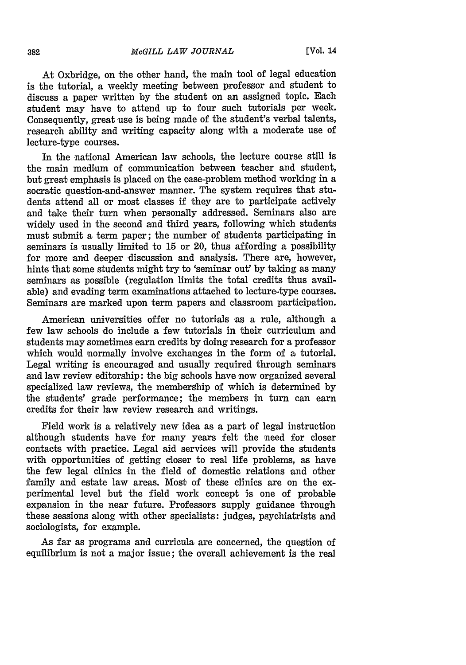At Oxbridge, on the other hand, the main tool of legal education is the tutorial, a weekly meeting between professor and student to discuss a paper written by the student on an assigned topic. Each student may have to attend up to four such tutorials per week. Consequently, great use is being made of the student's verbal talents, research ability and writing capacity along with a moderate use of lecture-type courses.

In the national American law schools, the lecture course still is the main medium of communication between teacher and student, but great emphasis is placed on the case-problem method working in a socratic question-and-answer manner. The system requires that students attend all or most classes if they are to participate actively and take their turn when personally addressed. Seminars also are widely used in the second and third years, following which students must submit a term paper; the number of students participating in seminars is usually limited to 15 or 20, thus affording a possibility for more and deeper discussion and analysis. There are, however, hints that some students might try to 'seminar out' by taking as many seminars as possible (regulation limits the total credits thus available) and evading term examinations attached to lecture-type courses. Seminars are marked upon term papers and classroom participation.

American universities offer no tutorials as a rule, although a few law schools do include a few tutorials in their curriculum and students may sometimes earn credits by doing research for a professor which would normally involve exchanges in the form of a tutorial. Legal writing is encouraged and usually required through seminars and law review editorship: the big schools have now organized several specialized law reviews, the membership of which is determined by the students' grade performance; the members in turn can earn credits for their law review research and writings.

Field work is a relatively new idea as a part of legal instruction although students have for many years felt the need for closer contacts with practice. Legal aid services will provide the students with opportunities of getting closer to real life problems, as have the few legal clinics in the field of domestic relations and other family and estate law areas. Most of these clinics are on the experimental level but the field work concept is one of probable expansion in the near future. Professors supply guidance through these sessions along with other specialists: judges, psychiatrists and sociologists, for example.

As far as programs and curricula are concerned, the question of equilibrium is not a major issue; the overall achievement is the real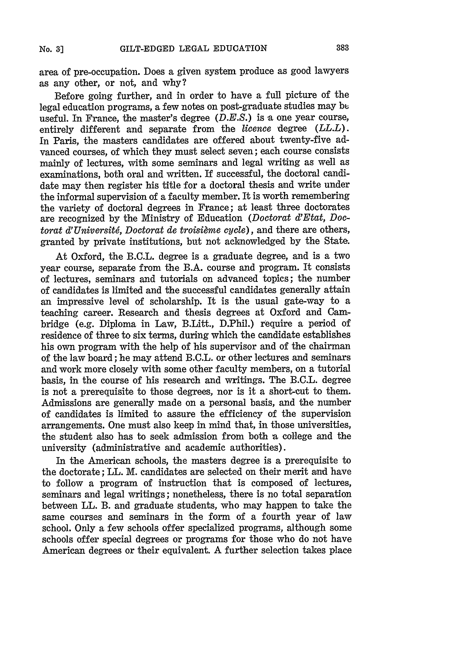area of pre-occupation. Does a given system produce as good lawyers as any other, or not, and why?

Before going further, and in order to have a full picture of the legal education programs, a few notes on post-graduate studies may **be** useful. In France, the master's degree *(D.E.S.)* is a one year course, entirely different and separate from the *licence* degree  $(LL.L.)$ . In Paris, the masters candidates are offered about twenty-five advanced courses, of which they must select seven; each course consists mainly of lectures, with some seminars and legal writing as well as examinations, both oral and written. If successful, the doctoral candidate may then register his title for a doctoral thesis and write under the informal supervision of a faculty member. It is worth remembering the variety of doctoral degrees in France; at least three doctorates are recognized by the Ministry of Education *(Doctorat d'Etat, Doctorat d'Université, Doctorat de troisième cycle), and there are others,* granted by private institutions, but not acknowledged by the State.

At Oxford, the B.C.L. degree is a graduate degree, and is a two year course, separate from the B.A. course and program. It consists of lectures, seminars and tutorials on advanced topics; the number of candidates is limited and the successful candidates generally attain an impressive level of scholarship. It is the usual gate-way to a teaching career. Research and thesis degrees at Oxford and Cambridge (e.g. Diploma in Law, B.Litt., D.Phil.) require a period of residence of three to six terms, during which the candidate establishes his own program with the help of his supervisor and of the chairman of the law board; he may attend B.C.L. or other lectures and seminars and work more closely with some other faculty members, on a tutorial basis, in the course of his research and writings. The B.C.L. degree is not a prerequisite to those degrees, nor is it a short-cut to them. Admissions are generally made on a personal basis, and the number of candidates is limited to assure the efficiency of the supervision arrangements. One must also keep in mind that, in those universities, the student also has to seek admission from both a college and the university (administrative and academic authorities).

In the American schools, the masters degree is a prerequisite to the doctorate; LL. M. candidates are selected on their merit and have to follow a program of instruction that is composed of lectures, seminars and legal writings; nonetheless, there is no total separation between LL. B. and graduate students, who may happen to take the same courses and seminars in the form of a fourth year of law school. Only a few schools offer specialized programs, although some schools offer special degrees or programs for those who do not have American degrees or their equivalent. A further selection takes place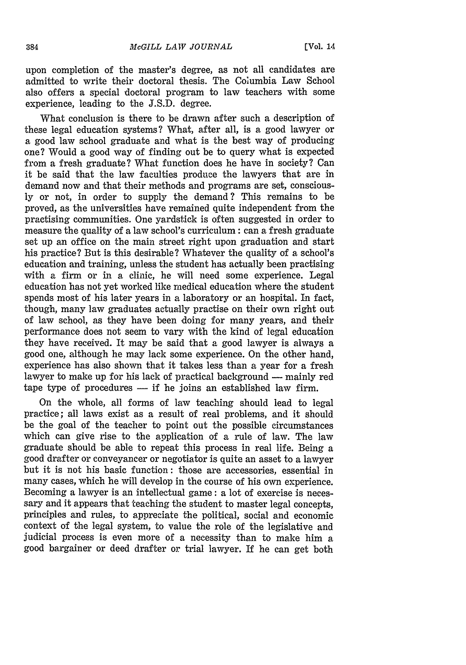upon completion of the master's degree, as not all candidates are admitted to write their doctoral thesis. The Columbia Law School also offers a special doctoral program to law teachers with some experience, leading to the J.S.D. degree.

What conclusion is there to be drawn after such a description of these legal education systems? What, after all, is a good lawyer or a good law school graduate and what is the best way of producing one? Would a good way of finding out be to query what is expected from a fresh graduate? What function does he have in society? Can it be said that the law faculties produce the lawyers that are in demand now and that their methods and programs are set, consciously or not, in order to supply the demand? This remains to be proved, as the universities have remained quite independent from the practising communities. One yardstick is often suggested in order to measure the quality of a law school's curriculum: can a fresh graduate set up an office on the main street right upon graduation and start his practice? But is this desirable? Whatever the quality of a school's education and training, unless the student has actually been practising with a firm or in a clinic, he will need some experience. Legal education has not yet worked like medical education where the student spends most of his later years in a laboratory or an hospital. In fact, though, many law graduates actually practise on their own right out of law school, as they have been doing for many years, and their performance does not seem to vary with the kind of legal education they have received. It may be said that a good lawyer is always a good one, although he may lack some experience. On the other hand, experience has also shown that it takes less than a year for a fresh lawyer to make up for his lack of practical background — mainly red  $t$ ape type of procedures  $-$  if he joins an established law firm.

On the whole, all forms of law teaching should lead to legal practice; all laws exist as a result of real problems, and it should be the goal of the teacher to point out the possible circumstances which can give rise to the application of a rule of law. The law graduate should be able to repeat this process in real life. Being a good drafter or conveyancer or negotiator is quite an asset to a lawyer but it is not his basic function: those are accessories, essential in many cases, which he will develop in the course of his own experience. Becoming a lawyer is an intellectual game: a lot of exercise is necessary and it appears that teaching the student to master legal concepts, principles and rules, to appreciate the political, social and economic context of the legal system, to value the role of the legislative and judicial process is even more of a necessity than to make him a good bargainer or deed drafter or trial lawyer. If he can get both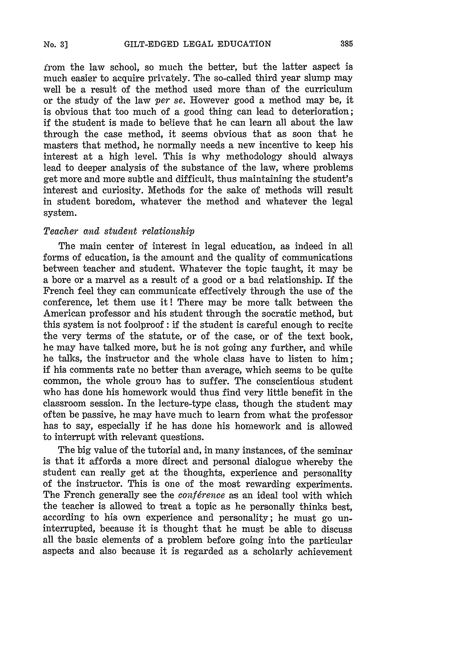irom the law school, so much the better, but the latter aspect is much easier to acquire privately. The so-called third year slump may well be a result of the method used more than of the curriculum or the study of the law *per se.* However good a method may be, it is obvious that too much of a good thing can lead to deterioration; if the student is made to believe that he can learn all about the law through the case method, it seems obvious that as soon that he masters that method, he normally needs a new incentive to keep his interest at a high level. This is why methodology should always lead to deeper analysis of the substance of the law, where problems get more and more subtle and difficult, thus maintaining the student's interest and curiosity. Methods for the sake of methods will result in student boredom, whatever the method and whatever the legal system.

## *Teacher and student relationship*

The main center of interest in legal education, as indeed in all forms of education, is the amount and the quality of communications between teacher and student. Whatever the topic taught, it may be a bore or a marvel as a result of a good or a bad relationship. If the French feel they can communicate effectively through the use of the conference, let them use it! There may be more talk between the American professor and his student through the socratic method, but this system is not foolproof : if the student is careful enough to recite the very terms of the statute, or of the case, or of the text book, he may have talked more, but he is not going any further, and while he talks, the instructor and the whole class have to listen to him; if his comments rate no better than average, which seems to be quite common, the whole group has to suffer. The conscientious student who has done his homework would thus find very little benefit in the classroom session. In the lecture-type class, though the student may often be passive, he may have much to learn from what the professor has to say, especially if he has done his homework and is allowed to interrupt with relevant questions.

The big value of the tutorial and, in many instances, of the seminar is that it affords a more direct and personal dialogue whereby the student can really get at the thoughts, experience and personality of the instructor. This is one of the most rewarding experiments. The French generally see the *conférence* as an ideal tool with which the teacher is allowed to treat a topic as he personally thinks best, according to his own experience and personality; he must go uninterrupted, because it is thought that he must be able to discuss all the basic elements of a problem before going into the particular aspects and also because it is regarded as a scholarly achievement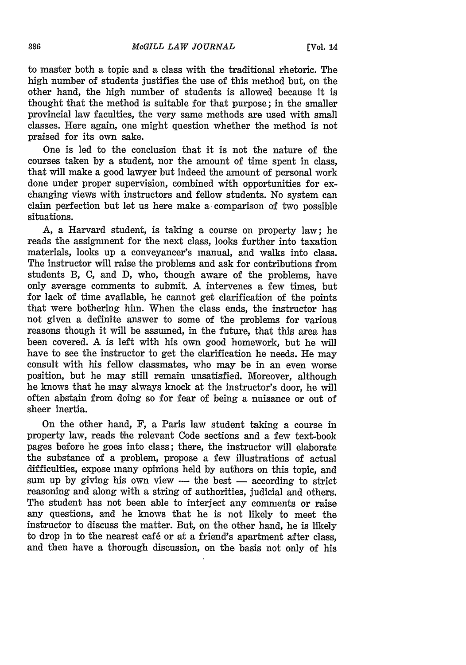to master both a topic and a class with the traditional rhetoric. The high number of students justifies the use of this method but, on the other hand, the high number of students is allowed because it is thought that the method is suitable for that purpose; in the smaller provincial law faculties, the very same methods are used with small classes. Here again, one might question whether the method is not praised for its own sake.

One is led to the conclusion that it is not the nature of the courses taken by a student, nor the amount of time spent in class, that will make a good lawyer but indeed the amount of personal work done under proper supervision, combined with opportunities for exchanging views with instructors and fellow students. No system can claim perfection but let us here make a comparison of two possible situations.

A, a Harvard student, is taking a course on property law; he reads the assignment for the next class, looks further into taxation materials, looks up a conveyancer's manual, and walks into class. The instructor will raise the problems and ask for contributions from students B, C, and D, who, though aware of the problems, have only average comments to submit. A intervenes a few times, but for lack of time available, he cannot get clarification of the points that were bothering him. When the class ends, the instructor has not given a definite answer to some of the problems for various reasons though it will be assumed, in the future, that this area has been covered. A is left with his own good homework, but he will have to see the instructor to get the clarification he needs. He may consult with his fellow classmates, who may be in an even worse position, but he may still remain unsatisfied. Moreover, although he knows that he may always knock at the instructor's door, he will often abstain from doing so for fear of being a nuisance or out of sheer inertia.

On the other hand, F, a Paris law student taking a course in property law, reads the relevant Code sections and a few text-book pages before he goes into class; there, the instructor will elaborate the substance of a problem, propose a few illustrations of actual difficulties, expose many opinions held by authors on this topic, and sum up by giving his own view  $-$  the best  $-$  according to strict reasoning and along with a string of authorities, judicial and others. The student has not been able to interject any comments or raise any questions, and he knows that he is not likely to meet the instructor to discuss the matter. But, on the other hand, he is likely to drop in to the nearest caf6 or at a friend's apartment after class, and then have a thorough discussion, on the basis not only of his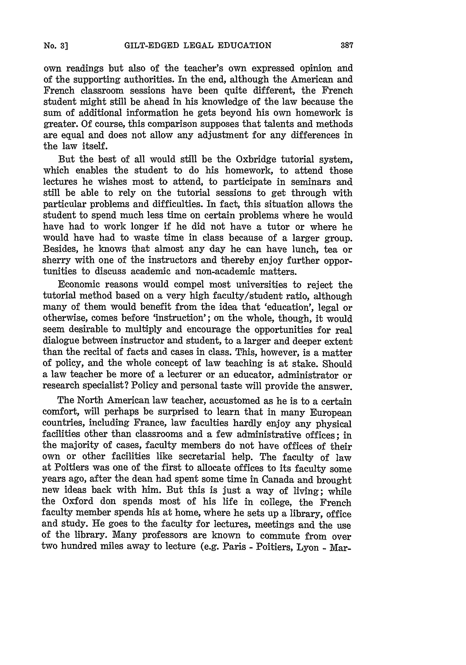own readings but also of the teacher's own expressed opinion and of the supporting authorities. In the end, although the American and French classroom sessions have been quite different, the French student might still be ahead in his knowledge of the law because the sum of additional information he gets beyond his own homework is greater. Of course, this comparison supposes that talents and methods are equal and does not allow any adjustment for any differences in the law itself.

But the best of all would still be the Oxbridge tutorial system, which enables the student to do his homework, to attend those lectures he wishes most to attend, to participate in seminars and still be able to rely on the tutorial sessions to get through with particular problems and difficulties. In fact, this situation allows the student to spend much less time on certain problems where he would have had to work longer if he did not have a tutor or where he would have had to waste time in class because of a larger group. Besides, he knows that almost any day he can have lunch, tea or sherry with one of the instructors and thereby enjoy further opportunities to discuss academic and non-academic matters.

Economic reasons would compel most universities to reject the tutorial method based on a very high faculty/student ratio, although many of them would benefit from the idea that 'education', legal or otherwise, comes before 'instruction'; on the whole, though, it would seem desirable to multiply and encourage the opportunities for real dialogue between instructor and student, to a larger and deeper extent than the recital of facts and cases in class. This, however, is a matter of policy, and the whole concept of law teaching is at stake. Should a law teacher be more of a lecturer or an educator, administrator or research specialist? Policy and personal taste will provide the answer.

The North American law teacher, accustomed as he is to a certain comfort, will perhaps be surprised to learn that in many European countries, including France, law faculties hardly enjoy any physical facilities other than classrooms and a few administrative offices; in the majority of cases, faculty members do not have offices of their own or other facilities like secretarial help. The faculty of law at Poitiers was one of the first to allocate offices to its faculty some years ago, after the dean had spent some time in Canada and brought new ideas back with him. But this is just a way of living; while the Oxford don spends most of his life in college, the French faculty member spends his at home, where he sets up a library, office and study. He goes to the faculty for lectures, meetings and the use of the library. Many professors are known to commute from over two hundred miles away to lecture (e.g. Paris - Poitiers, Lyon - Mar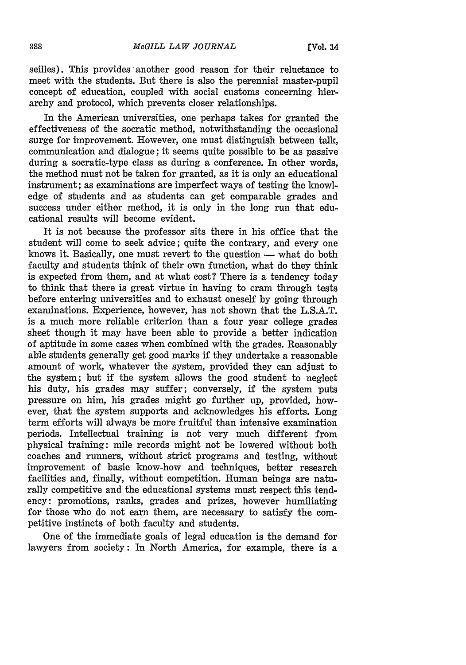seilles). This provides another good reason for their reluctance to meet with the students. But there is also the perennial master-pupil concept of education, coupled with social customs concerning hierarchy and protocol, which prevents closer relationships.

In the American universities, one perhaps takes for granted the effectiveness of the socratic method, notwithstanding the occasional surge for improvement. However, one must distinguish between talk, communication and dialogue; it seems quite possible to be as passive during a socratic-type class as during a conference. In other words, the method must not be taken for granted, as it is only an educational instrument; as examinations are imperfect ways of testing the knowledge of students and as students can get comparable grades and success under either method, it is only in the long run that educational results will become evident.

It is not because the professor sits there in his office that the student will come to seek advice; quite the contrary, and every one knows it. Basically, one must revert to the question  $-$  what do both faculty and students think of their own function, what do they think is expected from them, and at what cost? There is a tendency today to think that there is great virtue in having to cram through tests before entering universities and to exhaust oneself by going through examinations. Experience, however, has not shown that the L.S.A.T. is a much more reliable criterion than a four year college grades sheet though it may have been able to provide a better indication of aptitude in some cases when combined with the grades. Reasonably able students generally get good marks if they undertake a reasonable amount of work, whatever the system, provided they can adjust to the system; but if the system allows the good student to neglect his duty, his grades may suffer; conversely, if the system puts pressure on him, his grades might go further up, provided, however, that the system supports and acknowledges his efforts. Long term efforts will always be more fruitful than intensive examination periods. Intellectual training is not very much different from physical training: mile records might not be lowered without both coaches and runners, without strict programs and testing, without improvement of basic know-how and techniques, better research facilities and, finally, without competition. Human beings are naturally competitive and the educational systems must respect this tendency: promotions, ranks, grades and prizes, however humiliating for those who do not earn them, are necessary to satisfy the competitive instincts of both faculty and students.

One of the immediate goals of legal education is the demand for lawyers from society: In North America, for example, there is a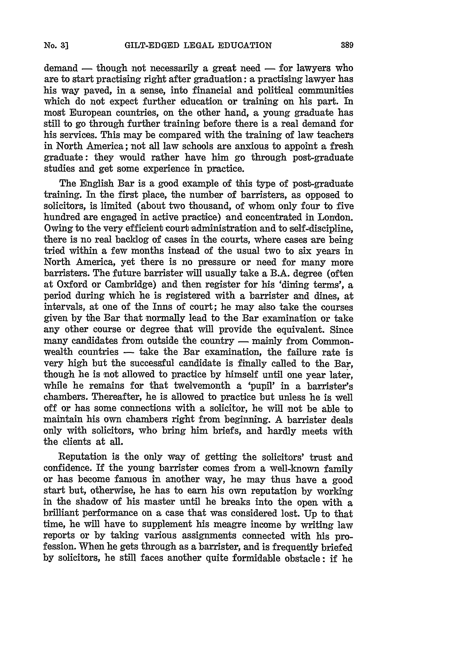$d$  demand  $-$  though not necessarily a great need  $-$  for lawyers who are to start practising right after graduation: a practising lawyer has his way paved, in a sense, into financial and political communities which do not expect further education or training on his part. In most European countries, on the other hand, a young graduate has still to go through further training before there is a real demand for his services. This may be compared with the training of law teachers in North America; not all law schools are anxious to appoint a fresh graduate: they would rather have him go through post-graduate studies and get some experience in practice.

The English Bar is a good example of this type **of** post-graduate training. In the first place, the number of barristers, as opposed to solicitors, is limited (about two thousand, of whom only four to five hundred are engaged in active practice) and concentrated in London. Owing to the very efficient court administration and to self-discipline, there is no real backlog of cases in the courts, where cases are being tried within a few months instead of the usual two to six years in North America, yet there is no pressure or need for many more barristers. The future barrister will usually take a B.A. degree (often at Oxford or Cambridge) and then register for his 'dining terms', a period during which he is registered with a barrister and dines, at intervals, at one of the Inns of court; he may also take the courses given **by** the Bar that normally lead to the Bar examination or take any other course or degree that will provide the equivalent. Since many candidates from outside the country — mainly from Commonwealth countries - take the Bar examination, the failure rate is very high but the successful candidate is finally called to the Bar, though he is not allowed to practice **by** himself until one year later, while he remains for that twelvemonth a 'pupil' in a barrister's chambers. Thereafter, he is allowed to practice but unless he is well off or has some connections with a solicitor, he will not be able to maintain his own chambers right from beginning. A barrister deals only with solicitors, who bring him briefs, and hardly meets with the clients at all.

Reputation is the only way of getting the solicitors' trust and confidence. If the young barrister comes from a well-known family or has become famous in another way, he may thus have a good start but, otherwise, he has to earn his own reputation **by** working in the shadow of his master until he breaks into the open with a brilliant performance on a case that was considered lost. **Up** to that time, he will have to supplement his meagre income **by** writing law reports or **by** taking various assignments connected with **his** profession. When he gets through as a barrister, and is frequently briefed **by** solicitors, he still faces another quite formidable obstacle: if he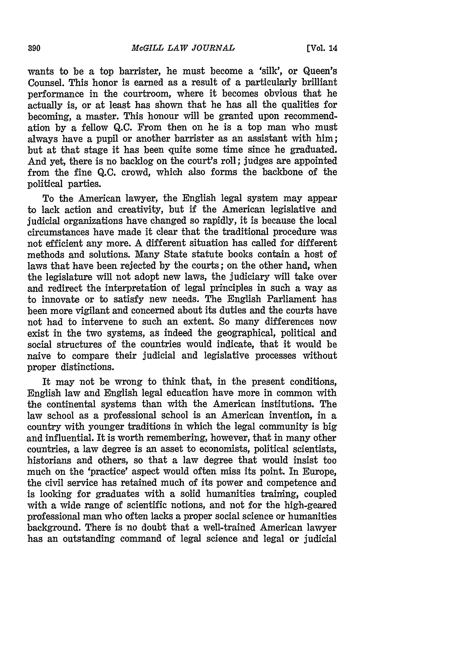wants to be a top barrister, he must become a 'silk', or Queen's Counsel. This honor is earned as a result of a particularly brilliant performance in the courtroom, where it becomes obvious that he actually is, or at least has shown that he has all the qualities for becoming, a master. This honour will be granted upon recommendation by a fellow Q.C. From then on he is a top man who must always have a pupil or another barrister as an assistant with him; but at that stage it has been quite some time since he graduated. And yet, there is no backlog on the court's roll; judges are appointed from the fine Q.C. crowd, which also forms the backbone of the political parties.

To the American lawyer, the English legal system may appear to lack action and creativity, but if the American legislative and judicial organizations have changed so rapidly, it is because the local circumstances have made it clear that the traditional procedure was not efficient any more. A different situation has called for different methods and solutions. Many State statute books contain a host of laws that have been rejected **by** the courts; on the other hand, when the legislature will not adopt new laws, the judiciary will take over and redirect the interpretation of legal principles in such a way as to innovate or to satisfy new needs. The English Parliament has been more vigilant and concerned about its duties and the courts have not had to intervene to such an extent. So many differences now exist in the two systems, as indeed the geographical, political and social structures of the countries would indicate, that it would be naive to compare their judicial and legislative processes without proper distinctions.

It may not be wrong to think that, in the present conditions, English law and English legal education have more in common with the continental systems than with the American institutions. The law school as a professional school is an American invention, in a country with younger traditions in which the legal community is big and influential. It is worth remembering, however, that in many other countries, a law degree is an asset to economists, political scientists, historians and others, so that a law degree that would insist too much on the 'practice' aspect would often miss its point. In Europe, the civil service has retained much of its power and competence and is looking for graduates with a solid humanities training, coupled with a wide range of scientific notions, and not for the high-geared professional man who often lacks a proper social science or humanities background. There is no doubt that a well-trained American lawyer has an outstanding command of legal science and legal or judicial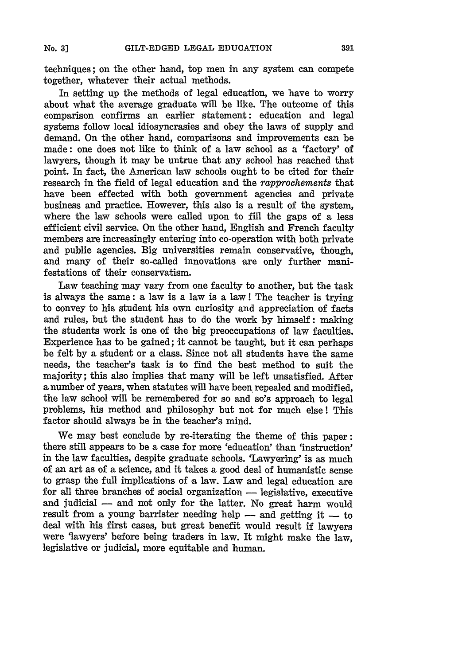techniques; on the other hand, top men in any system can compete together, whatever their actual methods.

In setting up the methods of legal education, we have to worry about what the average graduate will be like. The outcome of this comparison confirms an earlier statement: education and legal systems follow local idiosyncrasies and obey the laws of supply and demand. On the other hand, comparisons and improvements can be made: one does not like to think of a law school as a 'factory' of lawyers, though it may be untrue that any school has reached that point. In fact, the American law schools ought to be cited for their research in the field of legal education and the *rapprochements* that have been effected with both government agencies and private business and practice. However, this also is a result of the system, where the law schools were called upon to fill the gaps of a less efficient civil service. On the other hand, English and French faculty members are increasingly entering into co-operation with both private and public agencies. Big universities remain conservative, though, and many of their so-called innovations are only further manifestations of their conservatism.

Law teaching may vary from one faculty to another, but the task is always the same: a law is a law is a law! The teacher is trying to convey to his student his own curiosity and appreciation of facts and rules, but the student has to do the work **by** himself: making the students work is one of the big preoccupations of law faculties. Experience has to be gained; it cannot be taught, but it can perhaps be felt **by** a student or a class. Since not all students have the same needs, the teacher's task is to find the best method to suit the majority; this also implies that many will be left unsatisfied. After a number of years, when statutes will have been repealed and modified, the law school will be remembered for so and so's approach to legal problems, his method and philosophy but not for much else! This factor should always be in the teacher's mind.

We may best conclude **by** re-iterating the theme of this paper: there still appears to be a case for more 'education' than 'instruction' in the law faculties, despite graduate schools. 'Lawyering' is as much of an art as of a science, and it takes a good deal of humanistic sense to grasp the full implications of a law. Law and legal education are for all three branches of social organization - legislative, executive and judicial **-** and not only for the latter. No great harm would result from a young barrister needing help - and getting it - to deal with his first cases, but great benefit would result if lawyers were 'lawyers' before being traders in law. It might make the law, legislative or judicial, more equitable and human.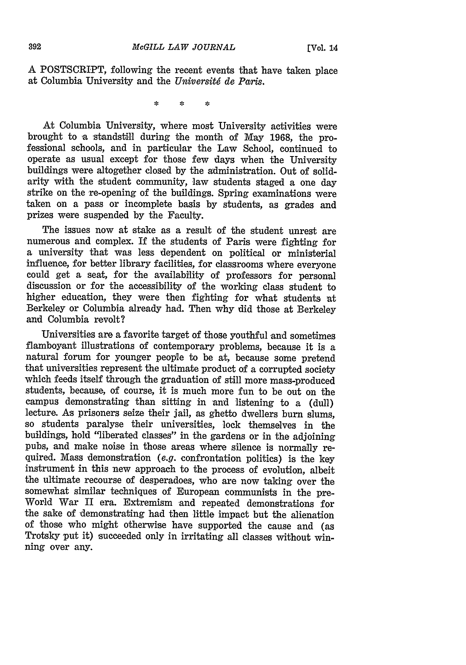A POSTSCRIPT, following the recent events that have taken place at Columbia University and the *Universit6 de Paris.*

> s. i.

At Columbia University, where most University activities were brought to a standstill during the month of May 1968, the pro- fessional schools, and in particular the Law School, continued to operate as usual except for those few days when the University buildings were altogether closed by the administration. Out of solidarity with the student community, law students staged a one day strike on the re-opening of the buildings. Spring examinations were taken on a pass or incomplete basis by students, as grades and prizes were suspended by the Faculty.

The issues now at stake as a result of the student unrest are numerous and complex. If the students of Paris were fighting for a university that was less dependent on political or ministerial could get a seat, for the availability of professors for personal discussion or for the accessibility of the working class student to higher education, they were then fighting for what students at Berkeley or Columbia already had. Then why did those at Berkeley and Columbia revolt?

Universities are a favorite target of those youthful and sometimes flamboyant illustrations of contemporary problems, because it is a natural forum for younger people to be at, because some pretend that universities represent the ultimate product of a corrupted society which feeds itself through the graduation of still more mass-produced students, because, of course, it is much more fun to be out on the campus demonstrating than siting in and listening to a (dull) lecture. As prisoners seize their jail, as ghetto dwellers burn slums, so students paralyse their universities, lock themselves in the buildings, hold "liberated classes" in the gardens or in the adjoining pubs, and make noise in those areas where silence is normally required. Mass demonstration *(e.g.* confrontation politics) is the key instrument in this new approach to the process of evolution, albeit the ultimate recourse of desperadoes, who are now taking over the World War II era. Extremism and repeated demonstrations for the sake of demonstrating had then little impact but the alienation of those who might otherwise have supported the cause and (as Trotsky put it) succeeded only in irritating all classes without winning over any.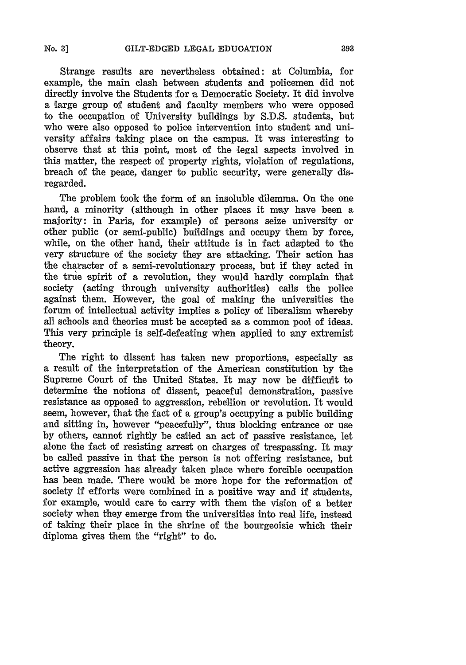Strange results are nevertheless obtained: at Columbia, for example, the main clash between students and policemen did not directly involve the Students for a Democratic Society. It did involve a large group of student and faculty members who were opposed to the occupation of University buildings **by S.D.S.** students, but who were also opposed to police intervention into student **and** university affairs taking place on the campus. It was interesting to observe that at this point, most of the legal aspects involved in this matter, the respect of property rights, violation of regulations, breach of the peace, danger to public security, were generally disregarded.

The problem took the form of an insoluble dilemma. On the one hand, a minority (although in other places it may have been a majority: in Paris, for example) of persons seize university or other public (or semi-public) buildings and occupy them **by** force, while, on the other hand, their attitude is in fact adapted to the very structure of the society they are attacking. Their action has the character of a semi-revolutionary process, but if they acted in the true spirit of a revolution, they would hardly complain that society (acting through university authorities) calls the police against them. However, the goal of making the universities the forum of intellectual activity implies a policy of liberalism whereby all schools and theories must be accepted as a common pool of ideas. This very principle is self-defeating when applied to any extremist theory.

The right to dissent has taken new proportions, especially as a result of the interpretation of the American constitution **by** the Supreme Court of the United States. It may now be difficult to determine the notions of dissent, peaceful demonstration, passive resistance as opposed to aggression, rebellion or revolution. It would seem, however, that the fact of a group's occupying a public building and sitting in, however "peacefully", thus blocking entrance or use by others, cannot rightly be called an act of passive resistance, let alone the fact of resisting arrest on charges of trespassing. It may be called passive in that the person is not offering resistance, but active aggression has already taken place where forcible occupation has been made. There would be more hope for the reformation of society if efforts were combined in a positive way and if students, for example, would care to carry with them the vision of a better society when they emerge from the universities into real life, instead of taking their place in the shrine of the bourgeoisie which their diploma gives them the "right" to do.